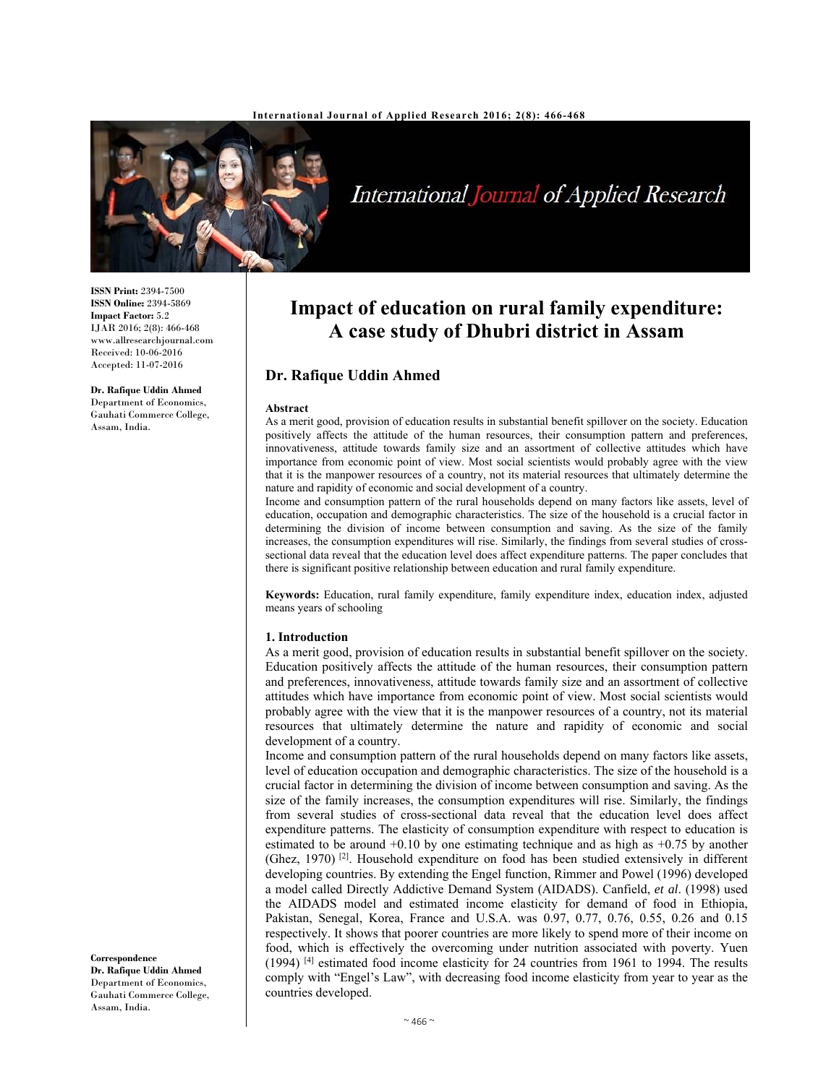

International Journal of Applied Research

#### **ISSN Print:** 2394-7500 **ISSN Online:** 2394-5869 **Impact Factor:** 5.2 IJAR 2016; 2(8): 466-468 www.allresearchjournal.com Received: 10-06-2016 Accepted: 11-07-2016

**Dr. Rafique Uddin Ahmed**  Department of Economics, Gauhati Commerce College, Assam, India.

**Impact of education on rural family expenditure: A case study of Dhubri district in Assam** 

# **Dr. Rafique Uddin Ahmed**

#### **Abstract**

As a merit good, provision of education results in substantial benefit spillover on the society. Education positively affects the attitude of the human resources, their consumption pattern and preferences, innovativeness, attitude towards family size and an assortment of collective attitudes which have importance from economic point of view. Most social scientists would probably agree with the view that it is the manpower resources of a country, not its material resources that ultimately determine the nature and rapidity of economic and social development of a country.

Income and consumption pattern of the rural households depend on many factors like assets, level of education, occupation and demographic characteristics. The size of the household is a crucial factor in determining the division of income between consumption and saving. As the size of the family increases, the consumption expenditures will rise. Similarly, the findings from several studies of crosssectional data reveal that the education level does affect expenditure patterns. The paper concludes that there is significant positive relationship between education and rural family expenditure.

**Keywords:** Education, rural family expenditure, family expenditure index, education index, adjusted means years of schooling

### **1. Introduction**

As a merit good, provision of education results in substantial benefit spillover on the society. Education positively affects the attitude of the human resources, their consumption pattern and preferences, innovativeness, attitude towards family size and an assortment of collective attitudes which have importance from economic point of view. Most social scientists would probably agree with the view that it is the manpower resources of a country, not its material resources that ultimately determine the nature and rapidity of economic and social development of a country.

Income and consumption pattern of the rural households depend on many factors like assets, level of education occupation and demographic characteristics. The size of the household is a crucial factor in determining the division of income between consumption and saving. As the size of the family increases, the consumption expenditures will rise. Similarly, the findings from several studies of cross-sectional data reveal that the education level does affect expenditure patterns. The elasticity of consumption expenditure with respect to education is estimated to be around  $+0.10$  by one estimating technique and as high as  $+0.75$  by another (Ghez, 1970)<sup>[2]</sup>. Household expenditure on food has been studied extensively in different developing countries. By extending the Engel function, Rimmer and Powel (1996) developed a model called Directly Addictive Demand System (AIDADS). Canfield, *et al*. (1998) used the AIDADS model and estimated income elasticity for demand of food in Ethiopia, Pakistan, Senegal, Korea, France and U.S.A. was 0.97, 0.77, 0.76, 0.55, 0.26 and 0.15 respectively. It shows that poorer countries are more likely to spend more of their income on food, which is effectively the overcoming under nutrition associated with poverty. Yuen (1994) [4] estimated food income elasticity for 24 countries from 1961 to 1994. The results comply with "Engel's Law", with decreasing food income elasticity from year to year as the countries developed.

**Correspondence Dr. Rafique Uddin Ahmed**  Department of Economics, Gauhati Commerce College, Assam, India.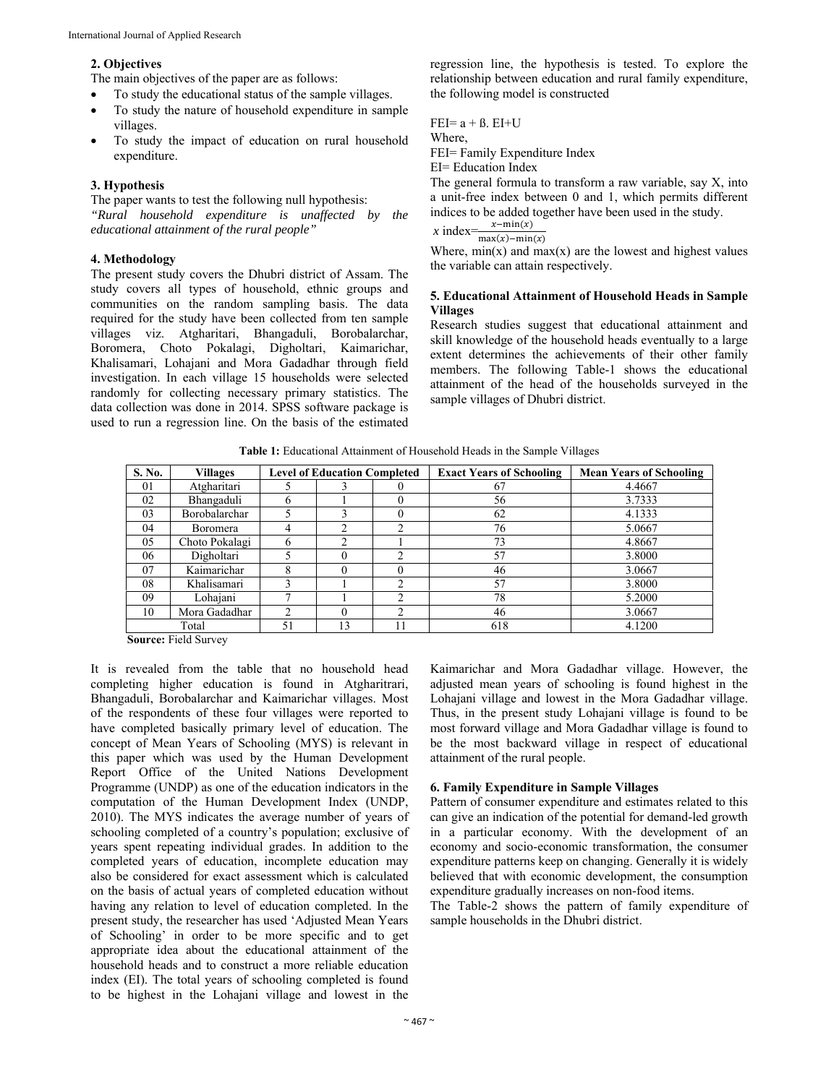## **2. Objectives**

The main objectives of the paper are as follows:

- To study the educational status of the sample villages.
- To study the nature of household expenditure in sample villages.
- To study the impact of education on rural household expenditure.

# **3. Hypothesis**

The paper wants to test the following null hypothesis: *"Rural household expenditure is unaffected by the educational attainment of the rural people"* 

## **4. Methodology**

The present study covers the Dhubri district of Assam. The study covers all types of household, ethnic groups and communities on the random sampling basis. The data required for the study have been collected from ten sample villages viz. Atgharitari, Bhangaduli, Borobalarchar, Boromera, Choto Pokalagi, Digholtari, Kaimarichar, Khalisamari, Lohajani and Mora Gadadhar through field investigation. In each village 15 households were selected randomly for collecting necessary primary statistics. The data collection was done in 2014. SPSS software package is used to run a regression line. On the basis of the estimated regression line, the hypothesis is tested. To explore the relationship between education and rural family expenditure, the following model is constructed

 $FEI = a + \beta$ .  $EI+U$ Where, FEI= Family Expenditure Index EI= Education Index The general formula to transform a raw variable, say X, into a unit-free index between 0 and 1, which permits different indices to be added together have been used in the study. *x* index  $\frac{x - \min(x)}{\max(x) - \min(x)}$ 

Where,  $min(x)$  and  $max(x)$  are the lowest and highest values the variable can attain respectively.

## **5. Educational Attainment of Household Heads in Sample Villages**

Research studies suggest that educational attainment and skill knowledge of the household heads eventually to a large extent determines the achievements of their other family members. The following Table-1 shows the educational attainment of the head of the households surveyed in the sample villages of Dhubri district.

| Table 1: Educational Attainment of Household Heads in the Sample Villages |  |  |  |
|---------------------------------------------------------------------------|--|--|--|
|                                                                           |  |  |  |

| S. No. | <b>Villages</b> | <b>Level of Education Completed</b> |               | <b>Exact Years of Schooling</b> | <b>Mean Years of Schooling</b> |        |
|--------|-----------------|-------------------------------------|---------------|---------------------------------|--------------------------------|--------|
| 01     | Atgharitari     |                                     |               |                                 | 67                             | 4.4667 |
| 02     | Bhangaduli      | h                                   |               |                                 | 56                             | 3.7333 |
| 03     | Borobalarchar   |                                     |               |                                 | 62                             | 4.1333 |
| 04     | <b>Boromera</b> | 4                                   |               |                                 | 76                             | 5.0667 |
| 05     | Choto Pokalagi  | h                                   | $\mathcal{L}$ |                                 | 73                             | 4.8667 |
| 06     | Digholtari      |                                     |               |                                 | 57                             | 3.8000 |
| 07     | Kaimarichar     | 8                                   |               |                                 | 46                             | 3.0667 |
| 08     | Khalisamari     |                                     |               |                                 | 57                             | 3.8000 |
| 09     | Lohajani        |                                     |               |                                 | 78                             | 5.2000 |
| 10     | Mora Gadadhar   | ◠                                   |               |                                 | 46                             | 3.0667 |
|        | Total           | 51                                  | 13            |                                 | 618                            | 4.1200 |

**Source:** Field Survey

It is revealed from the table that no household head completing higher education is found in Atgharitrari, Bhangaduli, Borobalarchar and Kaimarichar villages. Most of the respondents of these four villages were reported to have completed basically primary level of education. The concept of Mean Years of Schooling (MYS) is relevant in this paper which was used by the Human Development Report Office of the United Nations Development Programme (UNDP) as one of the education indicators in the computation of the Human Development Index (UNDP, 2010). The MYS indicates the average number of years of schooling completed of a country's population; exclusive of years spent repeating individual grades. In addition to the completed years of education, incomplete education may also be considered for exact assessment which is calculated on the basis of actual years of completed education without having any relation to level of education completed. In the present study, the researcher has used 'Adjusted Mean Years of Schooling' in order to be more specific and to get appropriate idea about the educational attainment of the household heads and to construct a more reliable education index (EI). The total years of schooling completed is found to be highest in the Lohajani village and lowest in the

Kaimarichar and Mora Gadadhar village. However, the adjusted mean years of schooling is found highest in the Lohajani village and lowest in the Mora Gadadhar village. Thus, in the present study Lohajani village is found to be most forward village and Mora Gadadhar village is found to be the most backward village in respect of educational attainment of the rural people.

### **6. Family Expenditure in Sample Villages**

Pattern of consumer expenditure and estimates related to this can give an indication of the potential for demand-led growth in a particular economy. With the development of an economy and socio-economic transformation, the consumer expenditure patterns keep on changing. Generally it is widely believed that with economic development, the consumption expenditure gradually increases on non-food items.

The Table-2 shows the pattern of family expenditure of sample households in the Dhubri district.